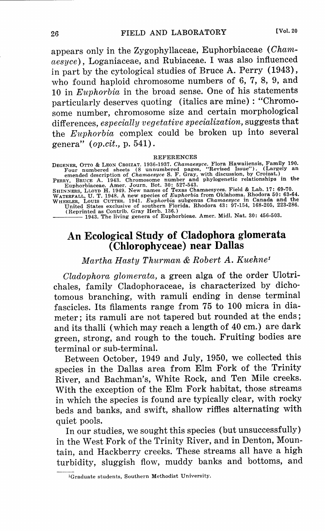appears only in the Zygophyllaceae, Euphorbiaceae ( *Chamaesyce),* Loganiaceae, and Rubiaceae. I was also influenced in part by the cytological studies of Bruce A. Perry (1943), who found haploid chromosome numbers of 6, 7, 8, 9, and 10 in *Euphorbia* in the broad sense. One of his statements particularly deserves quoting (italics are mine) : "Chromosome number, chromosome size and certain morphological differences, *especially vegetative specialization,* suggests that the *Euphorbia* complex could be broken up into several genera" *(op.cit.,* p. 541).

## REFERENCES

DEGENER, OTTO & LEON CROIZAT. 1936-1937. *Chamaesyce.* Flora Hawaiiensis, Family 190. Four numbered sheets ( 8 unnumbered pages, "Revised Issue"). ( Largely an

emended description of *Chamaesyce* S. F. Gray, with discussion, by Croizat.)<br>
PERRY, BRUCE A. 1943. Chromosome number and phylogenetic relationships in the<br>
Euphorbiaceae. Amer. Journ. Bot. 30: 527-543.<br>
SHINNERS, LLOYD H

1943. The living genera of Euphorbieae. Amer. Midi. Nat. 30: 456-503.

## **An Ecological Study of Cladophora glomerata**  ( **Chlorophyceae) near Dallas**

*Martha Hasty Thurman* & *Robert A. Kuehne <sup>1</sup>*

*Cladophora glomerata,* a green alga of the order Ulotrichales, family Cladophoraceae, is characterized by dichotomous branching, with ramuli ending in dense terminal fascicles. Its filaments range from 75 to 100 micra in diameter; its ramuli are not tapered but rounded at the ends; and its thalli (which may reach a length of 40 cm.) are dark green, strong, and rough to the touch. Fruiting bodies are terminal or sub-terminal.

Between October, 1949 and July, 1950, we collected this species in the Dallas area from Elm Fork of the Trinity River, and Bachman's, White Rock, and Ten Mile creeks. With the exception of the Elm Fork habitat, those streams in which the species is found are typically clear, with rocky beds and banks, and swift, shallow riffles alternating with quiet pools.

In our studies, we sought this species (but unsuccessfully) in the West Fork of the Trinity River, and in Denton, Mountain, and Hackberry creeks. These streams all have a high turbidity, sluggish flow, muddy banks and bottoms, and

<sup>1</sup>Graduate students, Southern Methodist University.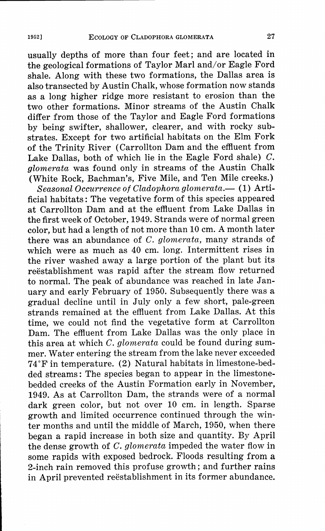usually depths of more than four feet; and are located in the geological formations of Taylor Marl and/or Eagle Ford shale. Along with these two formations, the Dallas area is also transected by Austin Chalk, whose formation now stands as a long higher ridge more resistant to erosion than the two other formations. Minor streams of the Austin Chalk differ from those of the Taylor and Eagle Ford formations by being swifter, shallower, clearer, and with rocky substrates. Except for two artificial habitats on the Elm Fork of the Trinity River ( Carrollton Dam and the effluent from Lake Dallas, both of which lie in the Eagle Ford shale) C. *<sup>g</sup>lomerata* was found only in streams of the Austin Chalk (White Rock, Bachman's, Five Mile, and Ten Mile creeks.)

*Seasonal Occurrence of Cladophora glomerata.-* ( 1) Artificial habitats: The vegetative form of this species appeared at Carrollton Dam and at the effluent from Lake Dallas in the first week of October, 1949. Strands were of normal green color, but had a length of not more than 10 cm. A month later there was an abundance of *C. glomerata,* many strands of which were as much as 40 cm. long. Intermittent rises in the river washed away a large portion of the plant but its reëstablishment was rapid after the stream flow returned to normal. The peak of abundance was reached in late January and early February of 1950. Subsequently there was a gradual decline until in July only a few short, pale-green strands remained at the effluent from Lake Dallas. At this time, we could not find the vegetative form at Carrollton Dam. The effluent from Lake Dallas was the only place in this area at which *C. glomerata* could be found during summer. Water entering the stream from the lake never exceeded 74 °Fin temperature. (2) Natural habitats in limestone-bedded streams: The species began to appear in the limestonebedded creeks of the Austin Formation early in November, 1949. As at Carrollton Dam, the strands were of a normal dark green color, but not over 10 cm. in length. Sparse growth and limited occurrence continued through the winter months and until the middle of March, 1950, when there began a rapid increase in both size and quantity. By April the dense growth of *C. glomerata* impeded the water flow in some rapids with exposed bedrock. Floods resulting from a 2-inch rain removed this profuse growth; and further rains in April prevented reëstablishment in its former abundance.